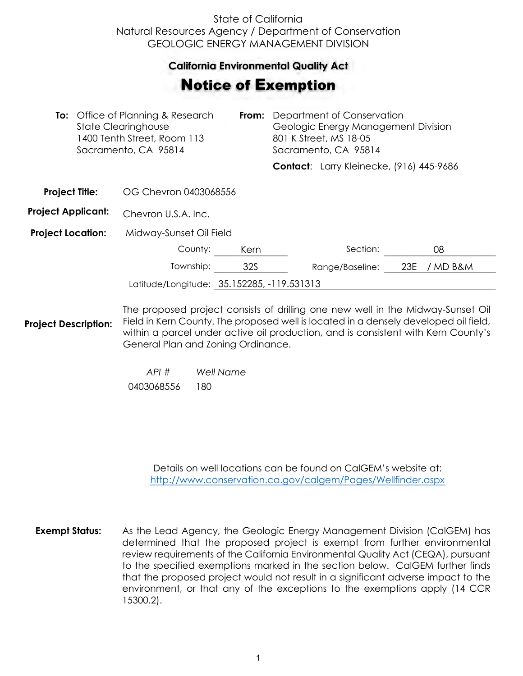## State of California Natural Resources Agency / Department of Conservation GEOLOGIC ENERGY MANAGEMENT DIVISION

## **California Environmental Quality Act**  California Environmental Quality Act

## Notice of Exemption **otice of Exemption**

| <b>To:</b> Office of Planning & Research<br>State Clearinghouse<br>1400 Tenth Street, Room 113<br>Sacramento, CA 95814 |  | From:                                                                           | Department of Conservation<br>Geologic Energy Management Division<br>801 K Street, MS 18-05<br>Sacramento, CA 95814 |  |                                          |     |          |  |
|------------------------------------------------------------------------------------------------------------------------|--|---------------------------------------------------------------------------------|---------------------------------------------------------------------------------------------------------------------|--|------------------------------------------|-----|----------|--|
|                                                                                                                        |  |                                                                                 |                                                                                                                     |  | Contact: Larry Kleinecke, (916) 445-9686 |     |          |  |
| <b>Project Title:</b>                                                                                                  |  | OG Chevron 0403068556                                                           |                                                                                                                     |  |                                          |     |          |  |
| <b>Project Applicant:</b>                                                                                              |  | Chevron U.S.A. Inc.                                                             |                                                                                                                     |  |                                          |     |          |  |
| <b>Project Location:</b>                                                                                               |  | Midway-Sunset Oil Field                                                         |                                                                                                                     |  |                                          |     |          |  |
|                                                                                                                        |  | County:                                                                         | Kern                                                                                                                |  | Section:                                 |     | 08       |  |
|                                                                                                                        |  | Township:                                                                       | 32S                                                                                                                 |  | Range/Baseline:                          | 23E | / MD B&M |  |
| Latitude/Longitude: 35.152285, -119.531313                                                                             |  |                                                                                 |                                                                                                                     |  |                                          |     |          |  |
|                                                                                                                        |  | The proposed project consists of drilling one new well in the Midway-Sunset Oil |                                                                                                                     |  |                                          |     |          |  |

**Project Description:** pposed project consists of drilling one nev Field in Kern County. The proposed well is located in a densely developed oil field, within a parcel under active oil production, and is consistent with Kern County's General Plan and Zoning Ordinance.

> *API # Well Name*  0403068556 180

> > Details on well locations can be found on CalGEM's website at: <http://www.conservation.ca.gov/calgem/Pages/Wellfinder.aspx>

**Exempt Status:** As the Lead Agency, the Geologic Energy Management Division (CalGEM) has determined that the proposed project is exempt from further environmental review requirements of the California Environmental Quality Act (CEQA), pursuant to the specified exemptions marked in the section below. CalGEM further finds that the proposed project would not result in a significant adverse impact to the environment, or that any of the exceptions to the exemptions apply (14 CCR 15300.2).